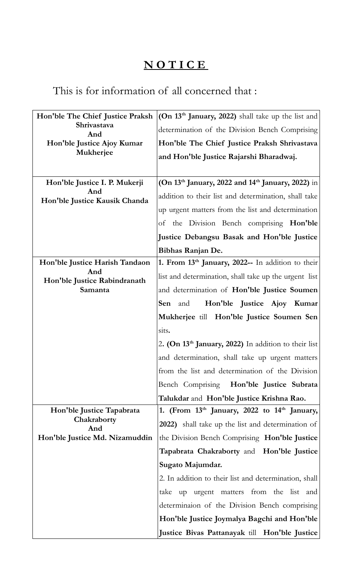## **N O T I C E**

## This is for information of all concerned that :

| Hon'ble The Chief Justice Praksh<br>Shrivastava<br>And<br>Hon'ble Justice Ajoy Kumar<br>Mukherjee | (On $13th$ January, 2022) shall take up the list and<br>determination of the Division Bench Comprising<br>Hon'ble The Chief Justice Praksh Shrivastava<br>and Hon'ble Justice Rajarshi Bharadwaj.                                                                                                                                                                                                                                                                                                                                  |
|---------------------------------------------------------------------------------------------------|------------------------------------------------------------------------------------------------------------------------------------------------------------------------------------------------------------------------------------------------------------------------------------------------------------------------------------------------------------------------------------------------------------------------------------------------------------------------------------------------------------------------------------|
| Hon'ble Justice I. P. Mukerji<br>And<br>Hon'ble Justice Kausik Chanda                             | (On 13 <sup>th</sup> January, 2022 and 14 <sup>th</sup> January, 2022) in<br>addition to their list and determination, shall take<br>up urgent matters from the list and determination<br>the Division Bench comprising Hon'ble<br>οf<br>Justice Debangsu Basak and Hon'ble Justice<br>Bibhas Ranjan De.                                                                                                                                                                                                                           |
| Hon'ble Justice Harish Tandaon<br>And<br>Hon'ble Justice Rabindranath<br>Samanta                  | 1. From 13th January, 2022-- In addition to their<br>list and determination, shall take up the urgent list<br>and determination of Hon'ble Justice Soumen<br>Hon'ble Justice Ajoy Kumar<br><b>Sen</b> and<br>Mukherjee till Hon'ble Justice Soumen Sen<br>sits.<br>2. (On 13 <sup>th</sup> January, 2022) In addition to their list<br>and determination, shall take up urgent matters<br>from the list and determination of the Division<br>Bench Comprising Hon'ble Justice Subrata<br>Talukdar and Hon'ble Justice Krishna Rao. |
| Hon'ble Justice Tapabrata<br>Chakraborty<br>And<br>Hon'ble Justice Md. Nizamuddin                 | 1. (From $13th$ January, 2022 to $14th$ January,<br>2022) shall take up the list and determination of<br>the Division Bench Comprising Hon'ble Justice<br>Tapabrata Chakraborty and Hon'ble Justice<br>Sugato Majumdar.<br>2. In addition to their list and determination, shall<br>up urgent matters from the list and<br>take<br>determinaion of the Division Bench comprising<br>Hon'ble Justice Joymalya Bagchi and Hon'ble<br>Justice Bivas Pattanayak till Hon'ble Justice                                                   |